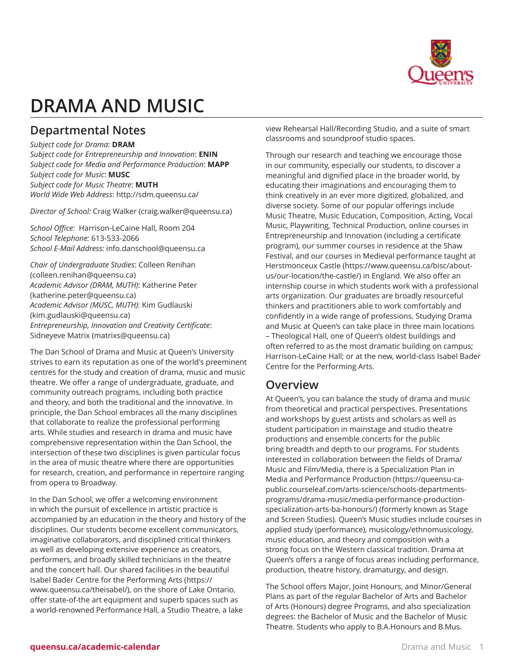

# **DRAMA AND MUSIC**

# **Departmental Notes**

*Subject code for Drama*: **DRAM** *Subject code for Entrepreneurship and Innovation*: **ENIN** *Subject code for Media and Performance Production*: **MAPP** *Subject code for Music*: **MUSC** *Subject code for Music Theatre*: **MUTH** *World Wide Web Address*: <http://sdm.queensu.ca/>

*Director of School:* Craig [Walker](mailto:craig.walker@queensu.ca) [\(craig.walker@queensu.ca](craig.walker@queensu.ca))

*School Office:* Harrison-LeCaine Hall, Room 204 *School Telephone:* 613-533-2066 *School E-Mail Address:* [info.danschool@queensu.ca](mailto:info.danschool@queensu.ca)

*Chair of Undergraduate Studies*: [Colleen Renihan](mailto:colleen.renihan@queensu.ca) (<colleen.renihan@queensu.ca>) *Academic Advisor (DRAM, MUTH)*: [Katherine Peter](mailto:katherine.peter@queensu.ca) ([katherine.peter@queensu.ca\)](katherine.peter@queensu.ca) *Academic Advisor (MUSC, MUTH)*: [Kim Gudlauski](mailto:kim.gudlauski@queensu.ca) ([kim.gudlauski@queensu.ca\)](kim.gudlauski@queensu.ca) *Entrepreneurship, Innovation and Creativity Certificate*: [Sidneyeve](mailto:matrixs@queensu.ca) Matrix [\(matrixs@queensu.ca](matrixs@queensu.ca))

The Dan School of Drama and Music at Queen's University strives to earn its reputation as one of the world's preeminent centres for the study and creation of drama, music and music theatre. We offer a range of undergraduate, graduate, and community outreach programs, including both practice and theory, and both the traditional and the innovative. In principle, the Dan School embraces all the many disciplines that collaborate to realize the professional performing arts. While studies and research in drama and music have comprehensive representation within the Dan School, the intersection of these two disciplines is given particular focus in the area of music theatre where there are opportunities for research, creation, and performance in repertoire ranging from opera to Broadway.

In the Dan School, we offer a welcoming environment in which the pursuit of excellence in artistic practice is accompanied by an education in the theory and history of the disciplines. Our students become excellent communicators, imaginative collaborators, and disciplined critical thinkers as well as developing extensive experience as creators, performers, and broadly skilled technicians in the theatre and the concert hall. Our shared facilities in the beautiful Isabel Bader Centre for the [Performing](https://www.queensu.ca/theisabel/) Arts ([https://](https://www.queensu.ca/theisabel/) [www.queensu.ca/theisabel/\)](https://www.queensu.ca/theisabel/), on the shore of Lake Ontario, offer state-of-the art equipment and superb spaces such as a world-renowned Performance Hall, a Studio Theatre, a lake

view Rehearsal Hall/Recording Studio, and a suite of smart classrooms and soundproof studio spaces.

Through our research and teaching we encourage those in our community, especially our students, to discover a meaningful and dignified place in the broader world, by educating their imaginations and encouraging them to think creatively in an ever more digitized, globalized, and diverse society. Some of our popular offerings include Music Theatre, Music Education, Composition, Acting, Vocal Music, Playwriting, Technical Production, online courses in Entrepreneurship and Innovation (including a certificate program), our summer courses in residence at the Shaw Festival, and our courses in Medieval performance taught at [Herstmonceux Castle](https://www.queensu.ca/bisc/about-us/our-location/the-castle/) ([https://www.queensu.ca/bisc/about](https://www.queensu.ca/bisc/about-us/our-location/the-castle/)[us/our-location/the-castle/\)](https://www.queensu.ca/bisc/about-us/our-location/the-castle/) in England. We also offer an internship course in which students work with a professional arts organization. Our graduates are broadly resourceful thinkers and practitioners able to work comfortably and confidently in a wide range of professions. Studying Drama and Music at Queen's can take place in three main locations – Theological Hall, one of Queen's oldest buildings and often referred to as the most dramatic building on campus; Harrison-LeCaine Hall; or at the new, world-class Isabel Bader Centre for the Performing Arts.

## **Overview**

At Queen's, you can balance the study of drama and music from theoretical and practical perspectives. Presentations and workshops by guest artists and scholars as well as student participation in mainstage and studio theatre productions and ensemble concerts for the public bring breadth and depth to our programs. For students interested in collaboration between the fields of Drama/ Music and Film/Media, there is a Specialization Plan in Media and [Performance](https://queensu-ca-public.courseleaf.com/arts-science/schools-departments-programs/drama-music/media-performance-production-specialization-arts-ba-honours/) Production ([https://queensu-ca](https://queensu-ca-public.courseleaf.com/arts-science/schools-departments-programs/drama-music/media-performance-production-specialization-arts-ba-honours/)[public.courseleaf.com/arts-science/schools-departments](https://queensu-ca-public.courseleaf.com/arts-science/schools-departments-programs/drama-music/media-performance-production-specialization-arts-ba-honours/)[programs/drama-music/media-performance-production](https://queensu-ca-public.courseleaf.com/arts-science/schools-departments-programs/drama-music/media-performance-production-specialization-arts-ba-honours/)[specialization-arts-ba-honours/\)](https://queensu-ca-public.courseleaf.com/arts-science/schools-departments-programs/drama-music/media-performance-production-specialization-arts-ba-honours/) (formerly known as Stage and Screen Studies). Queen's Music studies include courses in applied study (performance), musicology/ethnomusicology, music education, and theory and composition with a strong focus on the Western classical tradition. Drama at Queen's offers a range of focus areas including performance, production, theatre history, dramaturgy, and design.

The School offers Major, Joint Honours, and Minor/General Plans as part of the regular Bachelor of Arts and Bachelor of Arts (Honours) degree Programs, and also specialization degrees: the Bachelor of Music and the Bachelor of Music Theatre. Students who apply to B.A.Honours and B.Mus.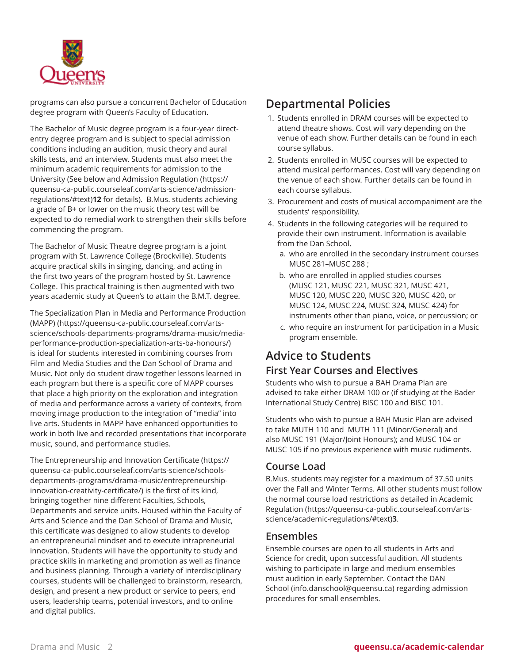

programs can also pursue a concurrent Bachelor of Education degree program with Queen's Faculty of Education.

The Bachelor of Music degree program is a four-year directentry degree program and is subject to special admission conditions including an audition, music theory and aural skills tests, and an interview. Students must also meet the minimum academic requirements for admission to the University (See below and [Admission Regulation](https://queensu-ca-public.courseleaf.com/arts-science/admission-regulations/#text) ([https://](https://queensu-ca-public.courseleaf.com/arts-science/admission-regulations/#text) [queensu-ca-public.courseleaf.com/arts-science/admission](https://queensu-ca-public.courseleaf.com/arts-science/admission-regulations/#text)[regulations/#text\)](https://queensu-ca-public.courseleaf.com/arts-science/admission-regulations/#text)**12** for details). B.Mus. students achieving a grade of B+ or lower on the music theory test will be expected to do remedial work to strengthen their skills before commencing the program.

The Bachelor of Music Theatre degree program is a joint program with St. Lawrence College (Brockville). Students acquire practical skills in singing, dancing, and acting in the first two years of the program hosted by St. Lawrence College. This practical training is then augmented with two years academic study at Queen's to attain the B.M.T. degree.

The Specialization Plan in Media and [Performance](https://queensu-ca-public.courseleaf.com/arts-science/schools-departments-programs/drama-music/media-performance-production-specialization-arts-ba-honours/) Production [\(MAPP\)](https://queensu-ca-public.courseleaf.com/arts-science/schools-departments-programs/drama-music/media-performance-production-specialization-arts-ba-honours/) ([https://queensu-ca-public.courseleaf.com/arts](https://queensu-ca-public.courseleaf.com/arts-science/schools-departments-programs/drama-music/media-performance-production-specialization-arts-ba-honours/)[science/schools-departments-programs/drama-music/media](https://queensu-ca-public.courseleaf.com/arts-science/schools-departments-programs/drama-music/media-performance-production-specialization-arts-ba-honours/)[performance-production-specialization-arts-ba-honours/](https://queensu-ca-public.courseleaf.com/arts-science/schools-departments-programs/drama-music/media-performance-production-specialization-arts-ba-honours/)) is ideal for students interested in combining courses from Film and Media Studies and the Dan School of Drama and Music. Not only do student draw together lessons learned in each program but there is a specific core of MAPP courses that place a high priority on the exploration and integration of media and performance across a variety of contexts, from moving image production to the integration of "media" into live arts. Students in MAPP have enhanced opportunities to work in both live and recorded presentations that incorporate music, sound, and performance studies.

The [Entrepreneurship](https://queensu-ca-public.courseleaf.com/arts-science/schools-departments-programs/drama-music/entrepreneurship-innovation-creativity-certificate/) and Innovation Certificate ([https://](https://queensu-ca-public.courseleaf.com/arts-science/schools-departments-programs/drama-music/entrepreneurship-innovation-creativity-certificate/) [queensu-ca-public.courseleaf.com/arts-science/schools](https://queensu-ca-public.courseleaf.com/arts-science/schools-departments-programs/drama-music/entrepreneurship-innovation-creativity-certificate/)[departments-programs/drama-music/entrepreneurship](https://queensu-ca-public.courseleaf.com/arts-science/schools-departments-programs/drama-music/entrepreneurship-innovation-creativity-certificate/)[innovation-creativity-certificate/\)](https://queensu-ca-public.courseleaf.com/arts-science/schools-departments-programs/drama-music/entrepreneurship-innovation-creativity-certificate/) is the first of its kind, bringing together nine different Faculties, Schools, Departments and service units. Housed within the Faculty of Arts and Science and the Dan School of Drama and Music, this certificate was designed to allow students to develop an entrepreneurial mindset and to execute intrapreneurial innovation. Students will have the opportunity to study and practice skills in marketing and promotion as well as finance and business planning. Through a variety of interdisciplinary courses, students will be challenged to brainstorm, research, design, and present a new product or service to peers, end users, leadership teams, potential investors, and to online and digital publics.

### **Departmental Policies**

- 1. Students enrolled in DRAM courses will be expected to attend theatre shows. Cost will vary depending on the venue of each show. Further details can be found in each course syllabus.
- 2. Students enrolled in MUSC courses will be expected to attend musical performances. Cost will vary depending on the venue of each show. Further details can be found in each course syllabus.
- 3. Procurement and costs of musical accompaniment are the students' responsibility.
- 4. Students in the following categories will be required to provide their own instrument. Information is available from the Dan School.
	- a. who are enrolled in the secondary instrument courses MUSC 281–MUSC 288 ;
	- b. who are enrolled in applied studies courses (MUSC 121, MUSC 221, MUSC 321, MUSC 421, MUSC 120, MUSC 220, MUSC 320, MUSC 420, or MUSC 124, MUSC 224, MUSC 324, MUSC 424) for instruments other than piano, voice, or percussion; or
	- c. who require an instrument for participation in a Music program ensemble.

# **Advice to Students**

#### **First Year Courses and Electives**

Students who wish to pursue a BAH Drama Plan are advised to take either DRAM 100 or (if studying at the Bader International Study Centre) BISC 100 and BISC 101.

Students who wish to pursue a BAH Music Plan are advised to take MUTH 110 and MUTH 111 (Minor/General) and also MUSC 191 (Major/Joint Honours); and MUSC 104 or MUSC 105 if no previous experience with music rudiments.

#### **Course Load**

B.Mus. students may register for a maximum of 37.50 units over the Fall and Winter Terms. All other students must follow the normal course load restrictions as detailed in [Academic](https://queensu-ca-public.courseleaf.com/arts-science/academic-regulations/#text) [Regulation](https://queensu-ca-public.courseleaf.com/arts-science/academic-regulations/#text) ([https://queensu-ca-public.courseleaf.com/arts](https://queensu-ca-public.courseleaf.com/arts-science/academic-regulations/#text)[science/academic-regulations/#text\)](https://queensu-ca-public.courseleaf.com/arts-science/academic-regulations/#text)**3**.

#### **Ensembles**

Ensemble courses are open to all students in Arts and Science for credit, upon successful audition. All students wishing to participate in large and medium ensembles must audition in early September. Contact the DAN School [\(info.danschool@queensu.ca](mailto:info.danschool@queensu.ca)) regarding admission procedures for small ensembles.